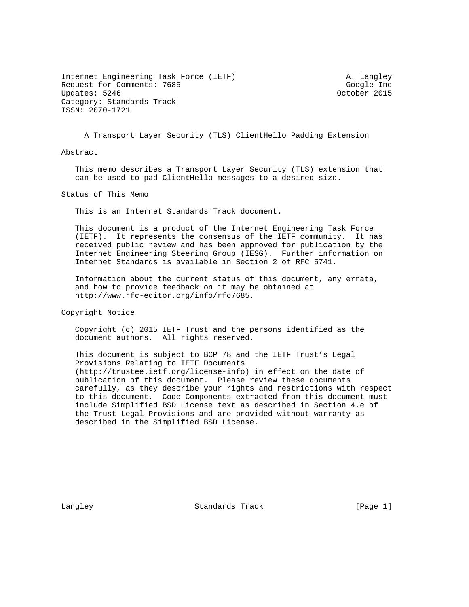Internet Engineering Task Force (IETF) A. Langley Request for Comments: 7685 Google Inc<br>
Updates: 5246 Google Inc Updates: 5246 Category: Standards Track ISSN: 2070-1721

A Transport Layer Security (TLS) ClientHello Padding Extension

Abstract

 This memo describes a Transport Layer Security (TLS) extension that can be used to pad ClientHello messages to a desired size.

Status of This Memo

This is an Internet Standards Track document.

 This document is a product of the Internet Engineering Task Force (IETF). It represents the consensus of the IETF community. It has received public review and has been approved for publication by the Internet Engineering Steering Group (IESG). Further information on Internet Standards is available in Section 2 of RFC 5741.

 Information about the current status of this document, any errata, and how to provide feedback on it may be obtained at http://www.rfc-editor.org/info/rfc7685.

Copyright Notice

 Copyright (c) 2015 IETF Trust and the persons identified as the document authors. All rights reserved.

 This document is subject to BCP 78 and the IETF Trust's Legal Provisions Relating to IETF Documents (http://trustee.ietf.org/license-info) in effect on the date of publication of this document. Please review these documents carefully, as they describe your rights and restrictions with respect to this document. Code Components extracted from this document must include Simplified BSD License text as described in Section 4.e of the Trust Legal Provisions and are provided without warranty as described in the Simplified BSD License.

Langley **Standards Track** [Page 1]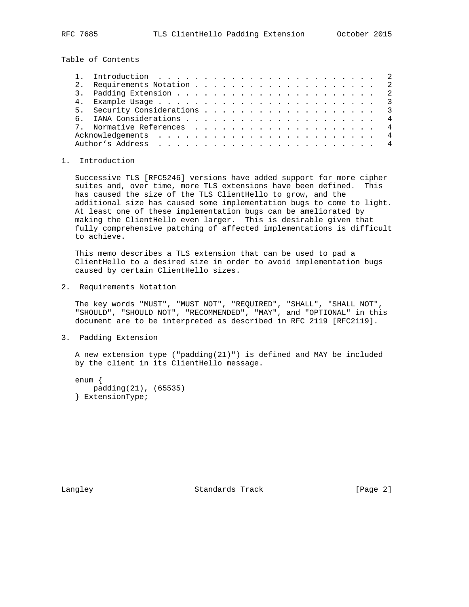Table of Contents

## 1. Introduction

 Successive TLS [RFC5246] versions have added support for more cipher suites and, over time, more TLS extensions have been defined. This has caused the size of the TLS ClientHello to grow, and the additional size has caused some implementation bugs to come to light. At least one of these implementation bugs can be ameliorated by making the ClientHello even larger. This is desirable given that fully comprehensive patching of affected implementations is difficult to achieve.

 This memo describes a TLS extension that can be used to pad a ClientHello to a desired size in order to avoid implementation bugs caused by certain ClientHello sizes.

2. Requirements Notation

 The key words "MUST", "MUST NOT", "REQUIRED", "SHALL", "SHALL NOT", "SHOULD", "SHOULD NOT", "RECOMMENDED", "MAY", and "OPTIONAL" in this document are to be interpreted as described in RFC 2119 [RFC2119].

3. Padding Extension

 A new extension type ("padding(21)") is defined and MAY be included by the client in its ClientHello message.

 enum { padding(21), (65535) } ExtensionType;

Langley Standards Track [Page 2]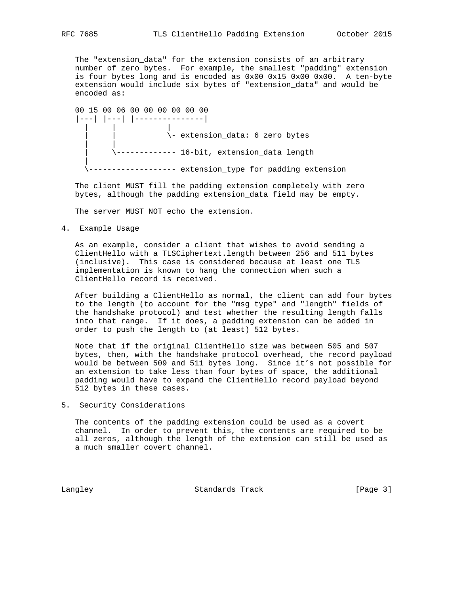The "extension\_data" for the extension consists of an arbitrary number of zero bytes. For example, the smallest "padding" extension is four bytes long and is encoded as 0x00 0x15 0x00 0x00. A ten-byte extension would include six bytes of "extension\_data" and would be encoded as:

 00 15 00 06 00 00 00 00 00 00 |---| |---| |---------------| | | | | | \- extension\_data: 6 zero bytes | | | \------------- 16-bit, extension\_data length | ------------- extension\_type for padding extension

 The client MUST fill the padding extension completely with zero bytes, although the padding extension\_data field may be empty.

The server MUST NOT echo the extension.

4. Example Usage

 As an example, consider a client that wishes to avoid sending a ClientHello with a TLSCiphertext.length between 256 and 511 bytes (inclusive). This case is considered because at least one TLS implementation is known to hang the connection when such a ClientHello record is received.

 After building a ClientHello as normal, the client can add four bytes to the length (to account for the "msg\_type" and "length" fields of the handshake protocol) and test whether the resulting length falls into that range. If it does, a padding extension can be added in order to push the length to (at least) 512 bytes.

 Note that if the original ClientHello size was between 505 and 507 bytes, then, with the handshake protocol overhead, the record payload would be between 509 and 511 bytes long. Since it's not possible for an extension to take less than four bytes of space, the additional padding would have to expand the ClientHello record payload beyond 512 bytes in these cases.

5. Security Considerations

 The contents of the padding extension could be used as a covert channel. In order to prevent this, the contents are required to be all zeros, although the length of the extension can still be used as a much smaller covert channel.

Langley **Standards Track** [Page 3]